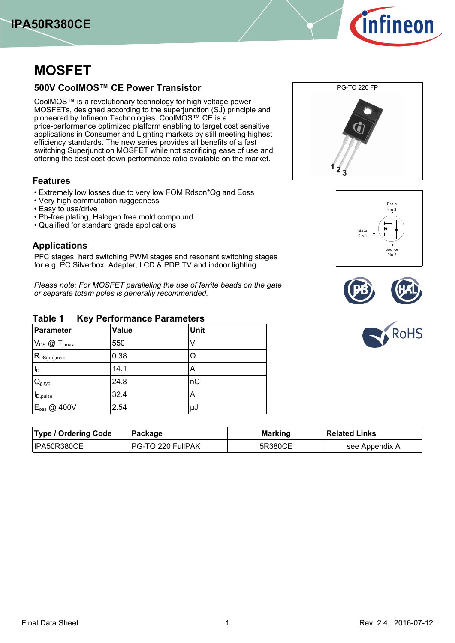



# **MOSFET**

## **500V CoolMOS™ CE Power Transistor**

CoolMOS™ is a revolutionary technology for high voltage power MOSFETs, designed according to the superjunction (SJ) principle and pioneered by Infineon Technologies. CoolMOS™ CE is a price-performance optimized platform enabling to target cost sensitive applications in Consumer and Lighting markets by still meeting highest efficiency standards. The new series provides all benefits of a fast switching Superjunction MOSFET while not sacrificing ease of use and offering the best cost down performance ratio available on the market.

## **Features**

- Extremely low losses due to very low FOM Rdson\*Qg and Eoss
- Very high commutation ruggedness
- Easy to use/drive
- Pb-free plating, Halogen free mold compound
- Qualified for standard grade applications

## **Applications**

PFC stages, hard switching PWM stages and resonant switching stages for e.g. PC Silverbox, Adapter, LCD & PDP TV and indoor lighting.

*Please-note:-For-MOSFET-paralleling-the-use-of-ferrite-beads-on-the-gate or-separate-totem-poles-is-generally-recommended.*

#### **Table-1-----Key-Performance-Parameters**

| <b>Parameter</b>                   | <b>Value</b> | Unit |
|------------------------------------|--------------|------|
| $V_{DS}$ $\textcircled{1}_{j,max}$ | 550          |      |
| $R_{DS(on),max}$                   | 0.38         | Ω    |
| Iр                                 | 14.1         | Α    |
| $Q_{g,typ}$                        | 24.8         | пC   |
| $I_{D,pulse}$                      | 32.4         | Α    |
| E <sub>oss</sub> @ 400V            | 2.54         | μJ   |









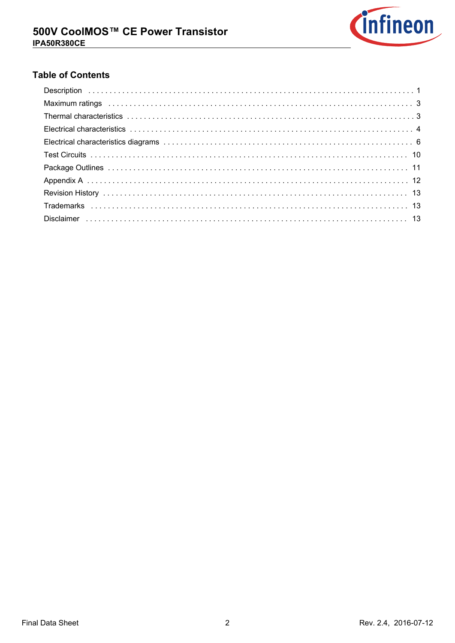

# **Table of Contents**

| Maximum ratings (and all contacts and all contacts and all contacts are set of the set of the set of the set of the set of the set of the set of the set of the set of the set of the set of the set of the set of the set of |
|-------------------------------------------------------------------------------------------------------------------------------------------------------------------------------------------------------------------------------|
|                                                                                                                                                                                                                               |
|                                                                                                                                                                                                                               |
|                                                                                                                                                                                                                               |
|                                                                                                                                                                                                                               |
|                                                                                                                                                                                                                               |
|                                                                                                                                                                                                                               |
|                                                                                                                                                                                                                               |
|                                                                                                                                                                                                                               |
|                                                                                                                                                                                                                               |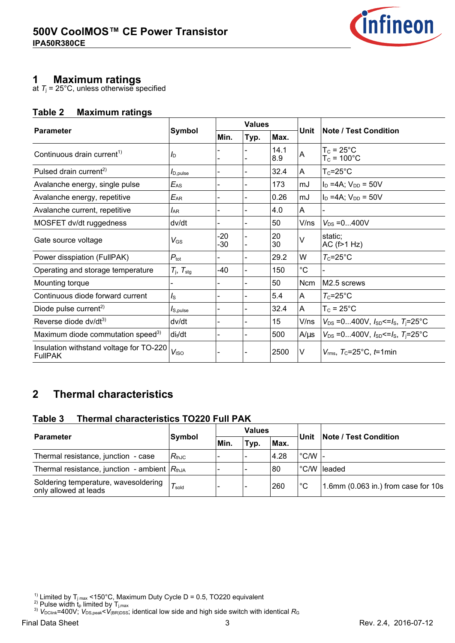

# **1-----Maximum-ratings**

at  $T_{\rm j}$  = 25°C, unless otherwise specified

## **Table-2-----Maximum-ratings**

| <b>Parameter</b>                                          |                             |                | <b>Values</b> |             | Unit           |                                                   |
|-----------------------------------------------------------|-----------------------------|----------------|---------------|-------------|----------------|---------------------------------------------------|
|                                                           | Symbol                      | Min.           | Typ.          | Max.        |                | ∣Note / Test Condition                            |
| Continuous drain current <sup>1)</sup>                    | $I_{\text{D}}$              |                |               | 14.1<br>8.9 | A              | $T_c = 25^{\circ}$ C<br>$T_c = 100^{\circ}C$      |
| Pulsed drain current <sup>2)</sup>                        | $I_{D,pulse}$               |                |               | 32.4        | A              | $T_c = 25^{\circ}C$                               |
| Avalanche energy, single pulse                            | $E_{AS}$                    |                |               | 173         | mJ             | $I_D = 4A$ ; $V_{DD} = 50V$                       |
| Avalanche energy, repetitive                              | $E_{AR}$                    |                |               | 0.26        | mJ             | $I_D = 4A$ ; $V_{DD} = 50V$                       |
| Avalanche current, repetitive                             | $I_{AR}$                    |                |               | 4.0         | $\mathsf{A}$   |                                                   |
| MOSFET dv/dt ruggedness                                   | dv/dt                       |                |               | 50          | V/ns           | $V_{DS} = 0400V$                                  |
| Gate source voltage                                       | $V_{\rm GS}$                | $-20$<br>$-30$ |               | 20<br>30    | V              | static;<br>AC $(f>1 Hz)$                          |
| Power disspiation (FullPAK)                               | $P_{\text{tot}}$            |                |               | 29.2        | W              | $T_c = 25^{\circ}C$                               |
| Operating and storage temperature                         | $T_{\rm j}$ , $T_{\rm stg}$ | -40            |               | 150         | $^{\circ}C$    |                                                   |
| Mounting torque                                           |                             |                |               | 50          | Ncm            | M <sub>2.5</sub> screws                           |
| Continuous diode forward current                          | $I_{\rm S}$                 |                |               | 5.4         | A              | $T_c = 25^{\circ}C$                               |
| Diode pulse current <sup>2)</sup>                         | $I_{\text{S,pulse}}$        |                |               | 32.4        | $\overline{A}$ | $T_c = 25^{\circ}$ C                              |
| Reverse diode dv/dt <sup>3)</sup>                         | dv/dt                       |                |               | 15          | V/ns           | $V_{DS}$ =0400V, $I_{SD}$ <= $I_S$ , $T_j$ =25°C  |
| Maximum diode commutation speed <sup>3)</sup>             | di <sub>f</sub> /dt         |                |               | 500         | $A/\mu s$      | $V_{DS}$ =0400V, $I_{SD}$ <= $I_S$ , $T_I$ = 25°C |
| Insulation withstand voltage for TO-220<br><b>FullPAK</b> | V <sub>ISO</sub>            |                |               | 2500        | V              | $V_{\text{rms}}$ , $T_{\text{C}}$ =25°C, t=1min   |

### **2--Thermal-characteristics**

#### **Table-3-----Thermal-characteristics-TO220-Full-PAK**

| <b>Parameter</b>                                              |                            |            | <b>Values</b>            |      | Unit          | <b>Note / Test Condition</b>        |
|---------------------------------------------------------------|----------------------------|------------|--------------------------|------|---------------|-------------------------------------|
|                                                               | Symbol                     | <b>Min</b> | Typ.                     | Max. |               |                                     |
| Thermal resistance, junction - case                           | $R_{th,IC}$                |            | -                        | 4.28 |               |                                     |
| Thermal resistance, junction - ambient $ R_{thJA} $           |                            |            | $\overline{\phantom{0}}$ | 80   | $\degree$ C/W | <b>leaded</b>                       |
| Soldering temperature, wavesoldering<br>only allowed at leads | $^{\prime}$ $T_{\rm sold}$ |            | $\overline{\phantom{0}}$ | 260  | $^{\circ}C$   | 1.6mm (0.063 in.) from case for 10s |

- <sup>1)</sup> Limited by T<sub>j max</sub> <150°C, Maximum Duty Cycle D = 0.5, TO220 equivalent
- <sup>2)</sup> Pulse width  $t_p$  limited by  $T_{j,\text{max}}$
- <sup>3)</sup>  $V_{\text{DClink}}$ =400V;  $V_{\text{DS,peak}}$ < $V_{\text{(BR)DSS}}$ ; identical low side and high side switch with identical  $R_{\text{G}}$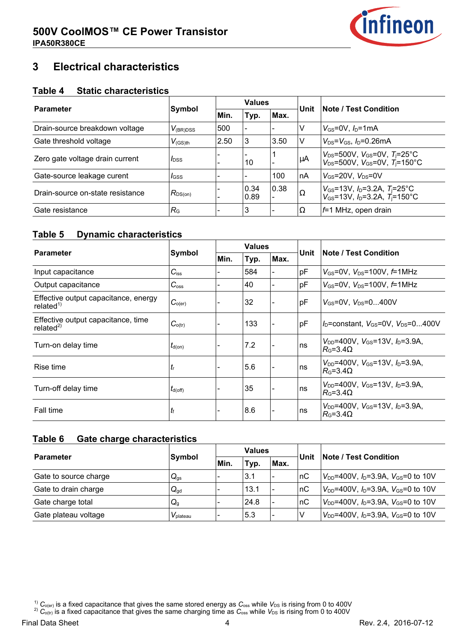

### **3--Electrical-characteristics**

#### **Table-4-----Static-characteristics**

| <b>Parameter</b>                 |                         |      | <b>Values</b> |      |          |                                                                                                                                       |
|----------------------------------|-------------------------|------|---------------|------|----------|---------------------------------------------------------------------------------------------------------------------------------------|
|                                  | <b>Symbol</b>           | Min. | Typ.          | Max. | Unit     | <b>Note / Test Condition</b>                                                                                                          |
| Drain-source breakdown voltage   | $V_{(BR)DSS}$           | 500  |               |      |          | $V_{GS}$ =0V, $I_D$ =1mA                                                                                                              |
| Gate threshold voltage           | $V_{(GS)th}$            | 2.50 | 3             | 3.50 | ν        | $V_{DS} = V_{GS}$ , $I_D = 0.26 \text{mA}$                                                                                            |
| Zero gate voltage drain current  | <i>l</i> <sub>DSS</sub> |      | 10            |      | μA       | $V_{DS}$ =500V, $V_{GS}$ =0V, $T_{i}$ =25°C<br>$V_{DS} = 500V$ , $V_{GS} = 0V$ , $T_1 = 150^{\circ}C$                                 |
| Gate-source leakage curent       | <i>I</i> GSS            |      |               | 100  | nA       | $V_{GS}$ =20V, $V_{DS}$ =0V                                                                                                           |
| Drain-source on-state resistance | $R_{DS(on)}$            |      | 0.34<br>0.89  | 0.38 | $\Omega$ | $V_{\text{GS}}$ =13V, $I_{\text{D}}$ =3.2A, $T_{\text{I}}$ =25°C<br>$V_{\text{GS}}$ =13V, $I_{\text{D}}$ =3.2A, $T_{\text{I}}$ =150°C |
| Gate resistance                  | $R_{\rm G}$             |      | 3             |      | $\Omega$ | $f=1$ MHz, open drain                                                                                                                 |

#### **Table-5---Dynamic-characteristics**

|                                                               |                     | <b>Values</b> |      |                          |      |                                                                                                 |
|---------------------------------------------------------------|---------------------|---------------|------|--------------------------|------|-------------------------------------------------------------------------------------------------|
| <b>Parameter</b>                                              | <b>Symbol</b>       | Min.          | Typ. | Max.                     | Unit | <b>Note / Test Condition</b>                                                                    |
| Input capacitance                                             | $C_{iss}$           |               | 584  |                          | pF   | $V_{\text{GS}}$ =0V, $V_{\text{DS}}$ =100V, $\text{f}$ =1MHz                                    |
| Output capacitance                                            | $C_{\rm oss}$       |               | 40   |                          | pF   | $V_{\text{GS}}$ =0V, $V_{\text{DS}}$ =100V, $f$ =1MHz                                           |
| Effective output capacitance, energy<br>related <sup>1)</sup> | $C_{o(er)}$         |               | 32   |                          | pF   | $V_{GS}$ =0V. $V_{DS}$ =0400V                                                                   |
| Effective output capacitance, time<br>related $^{2)}$         | $C_{o(tr)}$         |               | 133  | $\overline{\phantom{0}}$ | pF   | $I_D$ =constant, $V_{GS}$ =0V, $V_{DS}$ =0400V                                                  |
| Turn-on delay time                                            | $t_{d(on)}$         |               | 7.2  |                          | ns   | $V_{DD}$ =400V, $V_{GS}$ =13V, $I_D$ =3.9A,<br>$R_{\rm G}$ =3.4 $\Omega$                        |
| Rise time                                                     | $t_{\rm r}$         |               | 5.6  | $\blacksquare$           | ns   | $V_{DD}$ =400V, $V_{GS}$ =13V, $I_D$ =3.9A,<br>$R_0 = 3.4 \Omega$                               |
| Turn-off delay time                                           | $t_{\text{d(off)}}$ |               | 35   |                          | ns   | $V_{\text{DD}}$ =400V. $V_{\text{GS}}$ =13V. $I_{\text{D}}$ =3.9A.<br>$R_{\rm G}$ =3.4 $\Omega$ |
| Fall time                                                     | $t_{\rm f}$         |               | 8.6  | $\blacksquare$           | ns   | $V_{DD}$ =400V, $V_{GS}$ =13V, $I_D$ =3.9A,<br>$R_{\rm G}$ =3.4 $\Omega$                        |

#### **Table-6---Gate-charge-characteristics**

| <b>Parameter</b>      | Symbol               |      | <b>Values</b> |                          | <b>Unit</b> | <b>Note / Test Condition</b>                    |
|-----------------------|----------------------|------|---------------|--------------------------|-------------|-------------------------------------------------|
|                       |                      | Min. | Typ.          | Max.                     |             |                                                 |
| Gate to source charge | $Q_{gs}$             |      | 3.1           |                          | ∣nC         | $V_{DD}$ =400V, $I_D$ =3.9A, $V_{GS}$ =0 to 10V |
| Gate to drain charge  | $Q_{gd}$             |      | 13.1          | $\overline{\phantom{a}}$ | nC          | $V_{DD}$ =400V, $I_D$ =3.9A, $V_{GS}$ =0 to 10V |
| Gate charge total     | $Q_{q}$              |      | 24.8          | $\overline{\phantom{a}}$ | nC          | $V_{DD}$ =400V, $I_D$ =3.9A, $V_{GS}$ =0 to 10V |
| Gate plateau voltage  | $V_{\text{plateau}}$ |      | 5.3           |                          | ν           | $V_{DD}$ =400V, $I_D$ =3.9A, $V_{GS}$ =0 to 10V |

<sup>1)</sup>  $C_{o(\text{er})}$  is a fixed capacitance that gives the same stored energy as  $C_{\text{oss}}$  while  $V_{\text{DS}}$  is rising from 0 to 400V

<sup>2)</sup>  $C_{\text{o(tr)}}$  is a fixed capacitance that gives the same charging time as  $C_{\text{oss}}$  while  $V_{\text{DS}}$  is rising from 0 to 400V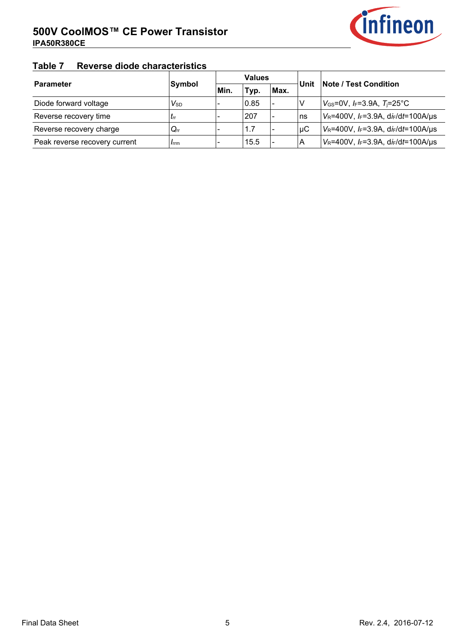

## **Table-7-----Reverse-diode-characteristics**

| <b>Parameter</b>              | Symbol                 |      | <b>Values</b> |                          | Unit | <b>Note / Test Condition</b>                  |
|-------------------------------|------------------------|------|---------------|--------------------------|------|-----------------------------------------------|
|                               |                        | Min. | Typ.          | Max.                     |      |                                               |
| Diode forward voltage         | $V_{\rm SD}$           |      | 0.85          | $\overline{\phantom{a}}$ |      | $V_{GS}$ =0V, $I_F$ =3.9A, $T_I$ =25°C        |
| Reverse recovery time         | $I_{rr}$               |      | 207           |                          | ∣ns  | $V_R$ =400V, $I_F$ =3.9A, d $i_F$ /dt=100A/µs |
| Reverse recovery charge       | $Q_{rr}$               |      | 1.7           |                          | μC   | $V_R$ =400V, $I_F$ =3.9A, d $I_F$ /dt=100A/µs |
| Peak reverse recovery current | <i>I</i> <sub>rm</sub> |      | 15.5          | $\overline{\phantom{0}}$ | A    | $V_R$ =400V, $I_F$ =3.9A, d $I_F$ /dt=100A/µs |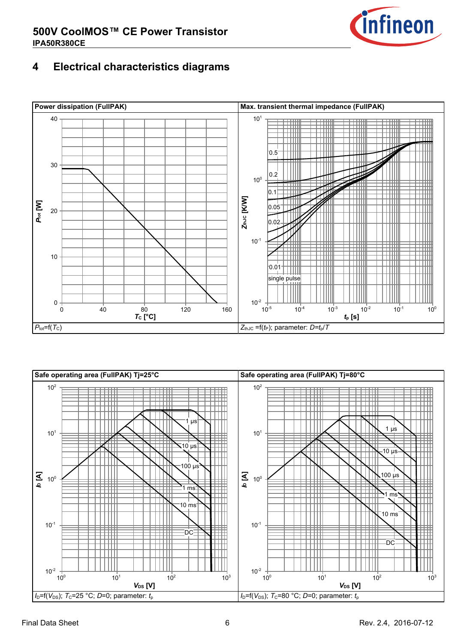

### **4--Electrical-characteristics-diagrams**



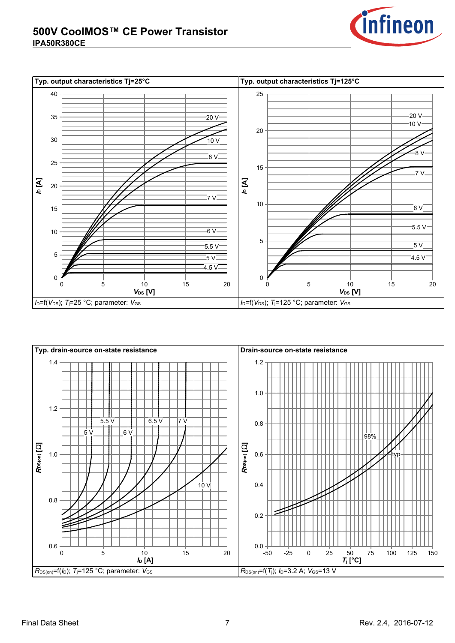



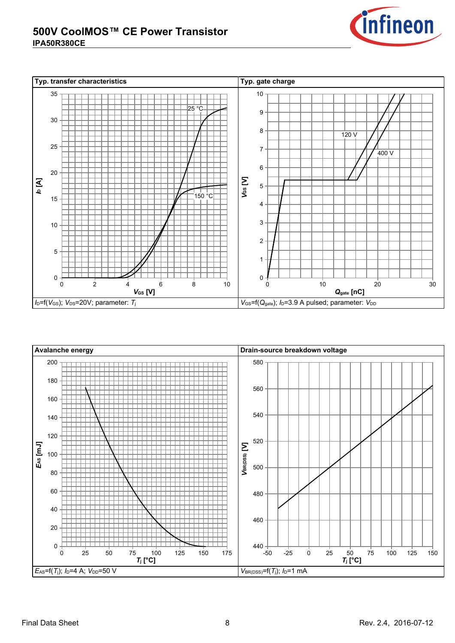



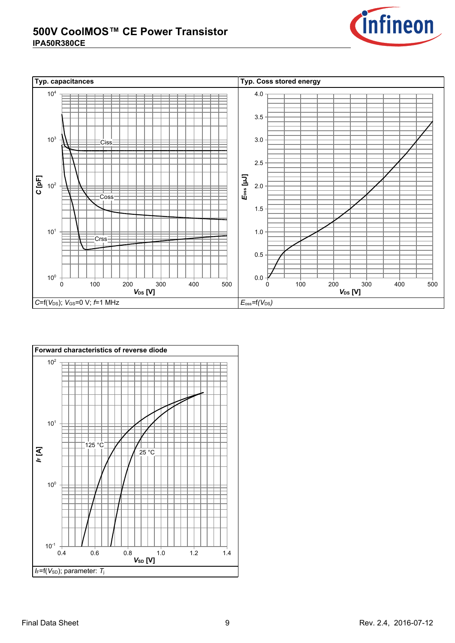



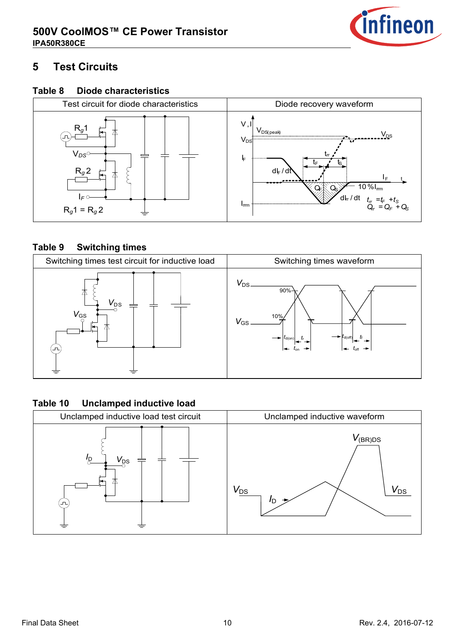

#### **5--Test-Circuits**

#### **Table-8--Diode-characteristics**



#### **Table-9--Switching-times**



#### **Table-10--Unclamped-inductive-load**

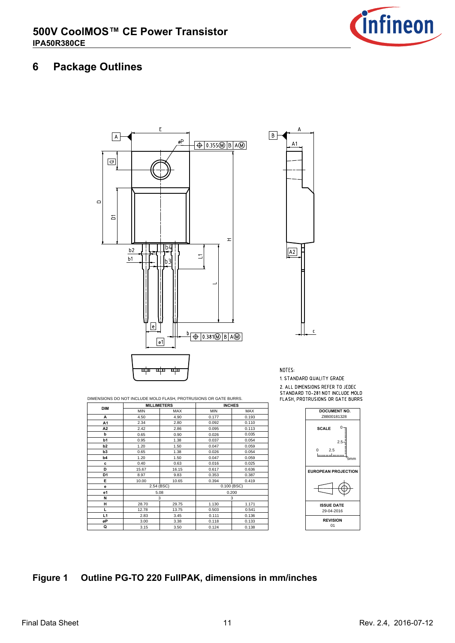

#### **6--Package-Outlines**



DIMENSIONS DO NOT INCLUDE MOLD FLASH, PROTRUSIONS OR GATE BURRS.

| <b>DIM</b>     | <b>MILLIMETERS</b> |            | <b>INCHES</b> |            |                               |
|----------------|--------------------|------------|---------------|------------|-------------------------------|
|                | <b>MIN</b>         | <b>MAX</b> | <b>MIN</b>    | <b>MAX</b> | <b>DOCUMENT NO.</b>           |
| A              | 4.50               | 4.90       | 0.177         | 0.193      | Z8B00181328                   |
| A1             | 2.34               | 2.80       | 0.092         | 0.110      |                               |
| A2             | 2.42               | 2.86       | 0.095         | 0.113      | $0 -$<br><b>SCALE</b>         |
| b              | 0.65               | 0.90       | 0.026         | 0.035      |                               |
| b1             | 0.95               | 1.38       | 0.037         | 0.054      | $2.5 -$                       |
| b2             | 1.20               | 1.50       | 0.047         | 0.059      |                               |
| b <sub>3</sub> | 0.65               | 1.38       | 0.026         | 0.054      | $\Omega$<br>2.5               |
| b <sub>4</sub> | 1.20               | 1.50       | 0.047         | 0.059      | ىسسىلىسىسا<br>5 <sub>mm</sub> |
| c              | 0.40               | 0.63       | 0.016         | 0.025      |                               |
| D              | 15.67              | 16.15      | 0.617         | 0.636      | <b>EUROPEAN PROJECTION</b>    |
| D <sub>1</sub> | 8.97               | 9.83       | 0.353         | 0.387      |                               |
| Е              | 10.00              | 10.65      | 0.394         | 0.419      |                               |
| е              | 2.54 (BSC)         |            | $0.100$ (BSC) |            |                               |
| e1             |                    | 5.08       |               | 0.200      |                               |
| N              |                    | 3          |               | 3          |                               |
| н              | 28.70              | 29.75      | 1.130         | 1.171      | <b>ISSUE DATE</b>             |
| L              | 12.78              | 13.75      | 0.503         | 0.541      | 29-04-2016                    |
| L1             | 2.83               | 3.45       | 0.111         | 0.136      |                               |
| øP             | 3.00               | 3.38       | 0.118         | 0.133      | <b>REVISION</b>               |
| Q              | 3.15               | 3.50       | 0.124         | 0.138      | 01                            |



1. STANDARD QUALITY GRADE

2. ALL DIMENSIONS REFER TO JEDEC 2. ALL DIMENSIONS REFER TO JEDECT<br>STANDARD TO-281 NOT INCLUDE MOLD<br>FLASH, PROTRUSIONS OR GATE BURRS



#### **Figure-1-----Outline-PG-TO-220-FullPAK,-dimensions-in-mm/inches**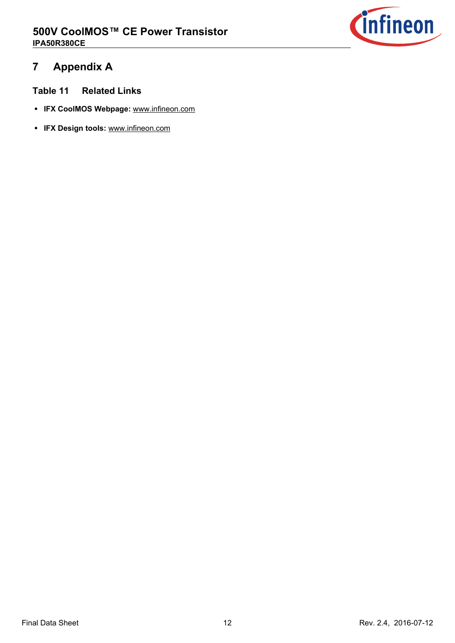

### **7--Appendix-A**

- **Table-11--Related-Links**
- **IFX-CoolMOS-Webpage:** [www.infineon.com](http://www.infineon.com/ce)
- **IFX-Design-tools:** [www.infineon.com](http://www.infineon.com/cms/en/product/promopages/designtools/index.html)